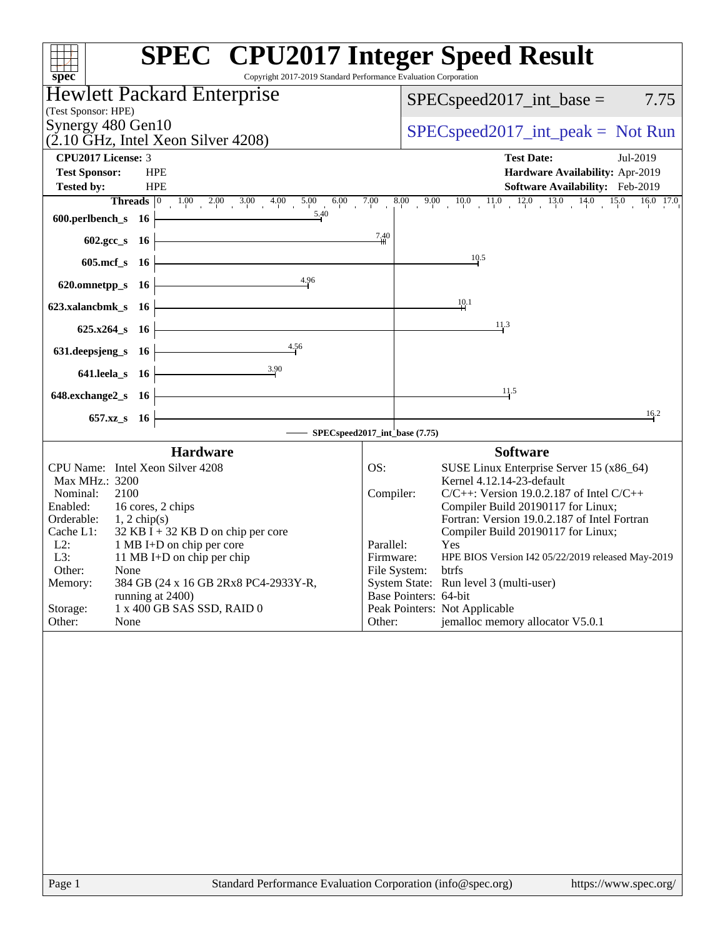| <b>SPEC<sup>®</sup></b> CPU2017 Integer Speed Result<br>Copyright 2017-2019 Standard Performance Evaluation Corporation<br>spec <sup>®</sup>                                                                                                                                                                                                                                                                                                     |                                                                                                                                                                                                                                                                                                                                                                                                                                                                                                                                                            |
|--------------------------------------------------------------------------------------------------------------------------------------------------------------------------------------------------------------------------------------------------------------------------------------------------------------------------------------------------------------------------------------------------------------------------------------------------|------------------------------------------------------------------------------------------------------------------------------------------------------------------------------------------------------------------------------------------------------------------------------------------------------------------------------------------------------------------------------------------------------------------------------------------------------------------------------------------------------------------------------------------------------------|
| <b>Hewlett Packard Enterprise</b>                                                                                                                                                                                                                                                                                                                                                                                                                | $SPEC speed2017\_int\_base =$<br>7.75                                                                                                                                                                                                                                                                                                                                                                                                                                                                                                                      |
| (Test Sponsor: HPE)                                                                                                                                                                                                                                                                                                                                                                                                                              |                                                                                                                                                                                                                                                                                                                                                                                                                                                                                                                                                            |
| Synergy 480 Gen10<br>$(2.10 \text{ GHz}, \text{Intel Xeon Silver } 4208)$                                                                                                                                                                                                                                                                                                                                                                        | $SPEC speed2017\_int\_peak = Not Run$                                                                                                                                                                                                                                                                                                                                                                                                                                                                                                                      |
| CPU2017 License: 3                                                                                                                                                                                                                                                                                                                                                                                                                               | <b>Test Date:</b><br>Jul-2019                                                                                                                                                                                                                                                                                                                                                                                                                                                                                                                              |
| <b>Test Sponsor:</b><br><b>HPE</b><br><b>Tested by:</b><br><b>HPE</b>                                                                                                                                                                                                                                                                                                                                                                            | Hardware Availability: Apr-2019<br>Software Availability: Feb-2019                                                                                                                                                                                                                                                                                                                                                                                                                                                                                         |
|                                                                                                                                                                                                                                                                                                                                                                                                                                                  | <b>Threads</b> $\begin{bmatrix} 0 & 1.00 & 2.00 & 3.00 & 4.00 & 5.00 & 6.00 & 7.00 & 8.00 & 9.00 & 10.0 & 11.0 & 12.0 & 13.0 & 14.0 & 15.0 & 16.0 & 17.0 \end{bmatrix}$<br><b>ch</b> s 16                                                                                                                                                                                                                                                                                                                                                                  |
| 600.perlbench_s $16$                                                                                                                                                                                                                                                                                                                                                                                                                             |                                                                                                                                                                                                                                                                                                                                                                                                                                                                                                                                                            |
| 602.gcc_s 16                                                                                                                                                                                                                                                                                                                                                                                                                                     | 7.40                                                                                                                                                                                                                                                                                                                                                                                                                                                                                                                                                       |
| 605.mcf_s 16                                                                                                                                                                                                                                                                                                                                                                                                                                     | 10.5                                                                                                                                                                                                                                                                                                                                                                                                                                                                                                                                                       |
| 4.96<br>620.omnetpp_s 16                                                                                                                                                                                                                                                                                                                                                                                                                         |                                                                                                                                                                                                                                                                                                                                                                                                                                                                                                                                                            |
| 623.xalancbmk s 16                                                                                                                                                                                                                                                                                                                                                                                                                               | 10.1                                                                                                                                                                                                                                                                                                                                                                                                                                                                                                                                                       |
| 625.x264_s 16                                                                                                                                                                                                                                                                                                                                                                                                                                    | 11.3                                                                                                                                                                                                                                                                                                                                                                                                                                                                                                                                                       |
| 4.56<br>631.deepsjeng_s 16                                                                                                                                                                                                                                                                                                                                                                                                                       |                                                                                                                                                                                                                                                                                                                                                                                                                                                                                                                                                            |
| 3.90<br>641.leela_s 16                                                                                                                                                                                                                                                                                                                                                                                                                           |                                                                                                                                                                                                                                                                                                                                                                                                                                                                                                                                                            |
| 648.exchange2_s 16                                                                                                                                                                                                                                                                                                                                                                                                                               | 11.5                                                                                                                                                                                                                                                                                                                                                                                                                                                                                                                                                       |
| 657.xz_s 16                                                                                                                                                                                                                                                                                                                                                                                                                                      | 16.2                                                                                                                                                                                                                                                                                                                                                                                                                                                                                                                                                       |
|                                                                                                                                                                                                                                                                                                                                                                                                                                                  | SPECspeed2017_int_base (7.75)                                                                                                                                                                                                                                                                                                                                                                                                                                                                                                                              |
| <b>Hardware</b><br>CPU Name: Intel Xeon Silver 4208<br>Max MHz.: 3200<br>Nominal:<br>2100<br>Enabled:<br>16 cores, 2 chips<br>Orderable:<br>$1, 2$ chip(s)<br>$32$ KB I + 32 KB D on chip per core<br>Cache L1:<br>$L2$ :<br>1 MB I+D on chip per core<br>L3:<br>11 MB I+D on chip per chip<br>Other:<br>None<br>384 GB (24 x 16 GB 2Rx8 PC4-2933Y-R,<br>Memory:<br>running at 2400)<br>1 x 400 GB SAS SSD, RAID 0<br>Storage:<br>Other:<br>None | <b>Software</b><br>OS:<br>SUSE Linux Enterprise Server 15 (x86_64)<br>Kernel 4.12.14-23-default<br>$C/C++$ : Version 19.0.2.187 of Intel $C/C++$<br>Compiler:<br>Compiler Build 20190117 for Linux;<br>Fortran: Version 19.0.2.187 of Intel Fortran<br>Compiler Build 20190117 for Linux;<br>Parallel:<br>Yes<br>HPE BIOS Version I42 05/22/2019 released May-2019<br>Firmware:<br>File System:<br>btrts<br>System State: Run level 3 (multi-user)<br>Base Pointers: 64-bit<br>Peak Pointers: Not Applicable<br>jemalloc memory allocator V5.0.1<br>Other: |
| Page 1<br>Standard Performance Evaluation Corporation (info@spec.org)                                                                                                                                                                                                                                                                                                                                                                            | https://www.spec.org/                                                                                                                                                                                                                                                                                                                                                                                                                                                                                                                                      |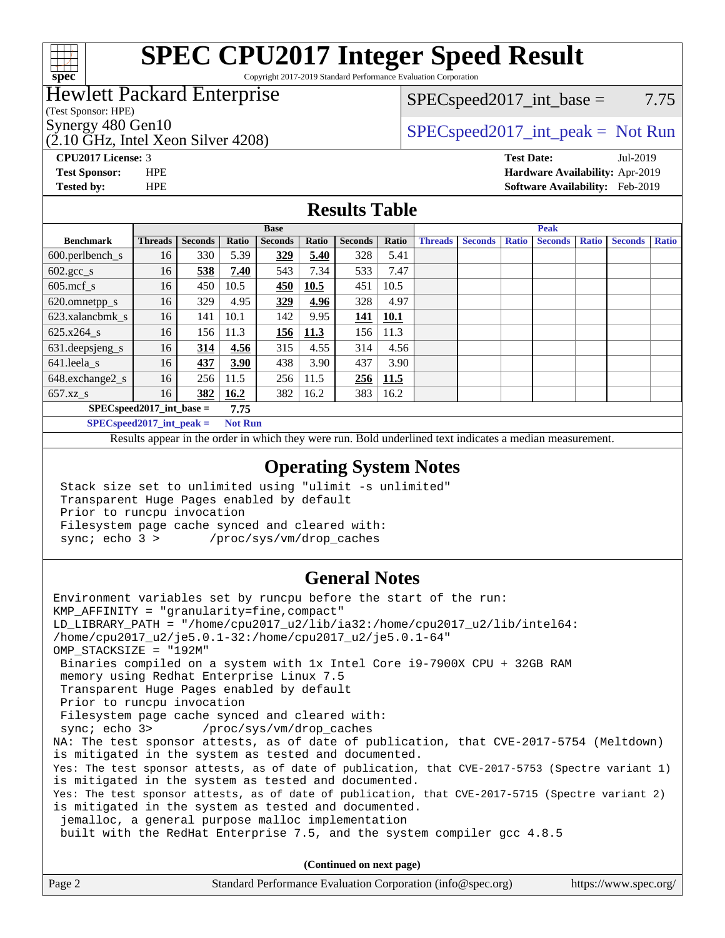

# **[SPEC CPU2017 Integer Speed Result](http://www.spec.org/auto/cpu2017/Docs/result-fields.html#SPECCPU2017IntegerSpeedResult)**

Copyright 2017-2019 Standard Performance Evaluation Corporation

### Hewlett Packard Enterprise

(Test Sponsor: HPE)

(2.10 GHz, Intel Xeon Silver 4208)

 $SPEC speed2017\_int\_base = 7.75$ 

## Synergy 480 Gen10  $SPEC speed2017\_int\_peak = Not Run$

**[CPU2017 License:](http://www.spec.org/auto/cpu2017/Docs/result-fields.html#CPU2017License)** 3 **[Test Date:](http://www.spec.org/auto/cpu2017/Docs/result-fields.html#TestDate)** Jul-2019 **[Test Sponsor:](http://www.spec.org/auto/cpu2017/Docs/result-fields.html#TestSponsor)** HPE **[Hardware Availability:](http://www.spec.org/auto/cpu2017/Docs/result-fields.html#HardwareAvailability)** Apr-2019 **[Tested by:](http://www.spec.org/auto/cpu2017/Docs/result-fields.html#Testedby)** HPE **[Software Availability:](http://www.spec.org/auto/cpu2017/Docs/result-fields.html#SoftwareAvailability)** Feb-2019

#### **[Results Table](http://www.spec.org/auto/cpu2017/Docs/result-fields.html#ResultsTable)**

|                                    |                |                |              | <b>Base</b>    |       |                |       |                |                |              | <b>Peak</b>    |              |                |              |
|------------------------------------|----------------|----------------|--------------|----------------|-------|----------------|-------|----------------|----------------|--------------|----------------|--------------|----------------|--------------|
| <b>Benchmark</b>                   | <b>Threads</b> | <b>Seconds</b> | <b>Ratio</b> | <b>Seconds</b> | Ratio | <b>Seconds</b> | Ratio | <b>Threads</b> | <b>Seconds</b> | <b>Ratio</b> | <b>Seconds</b> | <b>Ratio</b> | <b>Seconds</b> | <b>Ratio</b> |
| $600.$ perlbench_s                 | 16             | 330            | 5.39         | 329            | 5.40  | 328            | 5.41  |                |                |              |                |              |                |              |
| $602.\text{gcc}\_\text{s}$         | 16             | 538            | 7.40         | 543            | 7.34  | 533            | 7.47  |                |                |              |                |              |                |              |
| $605$ .mcf s                       | 16             | 450            | 10.5         | 450            | 10.5  | 451            | 10.5  |                |                |              |                |              |                |              |
| 620.omnetpp_s                      | 16             | 329            | 4.95         | 329            | 4.96  | 328            | 4.97  |                |                |              |                |              |                |              |
| 623.xalancbmk s                    | 16             | 141            | 10.1         | 142            | 9.95  | 141            | 10.1  |                |                |              |                |              |                |              |
| 625.x264 s                         | 16             | 156            | 11.3         | <u>156</u>     | 11.3  | 156            | 11.3  |                |                |              |                |              |                |              |
| 631.deepsjeng_s                    | 16             | 314            | 4.56         | 315            | 4.55  | 314            | 4.56  |                |                |              |                |              |                |              |
| 641.leela s                        | 16             | 437            | 3.90         | 438            | 3.90  | 437            | 3.90  |                |                |              |                |              |                |              |
| 648.exchange2_s                    | 16             | 256            | 11.5         | 256            | 11.5  | 256            | 11.5  |                |                |              |                |              |                |              |
| $657.xz$ s                         | 16             | 382            | 16.2         | 382            | 16.2  | 383            | 16.2  |                |                |              |                |              |                |              |
| $SPECspeed2017$ int base =<br>7.75 |                |                |              |                |       |                |       |                |                |              |                |              |                |              |

**[SPECspeed2017\\_int\\_peak =](http://www.spec.org/auto/cpu2017/Docs/result-fields.html#SPECspeed2017intpeak) Not Run**

Results appear in the [order in which they were run.](http://www.spec.org/auto/cpu2017/Docs/result-fields.html#RunOrder) Bold underlined text [indicates a median measurement.](http://www.spec.org/auto/cpu2017/Docs/result-fields.html#Median)

#### **[Operating System Notes](http://www.spec.org/auto/cpu2017/Docs/result-fields.html#OperatingSystemNotes)**

 Stack size set to unlimited using "ulimit -s unlimited" Transparent Huge Pages enabled by default Prior to runcpu invocation Filesystem page cache synced and cleared with: sync; echo 3 > /proc/sys/vm/drop\_caches

### **[General Notes](http://www.spec.org/auto/cpu2017/Docs/result-fields.html#GeneralNotes)**

Environment variables set by runcpu before the start of the run: KMP\_AFFINITY = "granularity=fine,compact" LD\_LIBRARY\_PATH = "/home/cpu2017\_u2/lib/ia32:/home/cpu2017\_u2/lib/intel64: /home/cpu2017\_u2/je5.0.1-32:/home/cpu2017\_u2/je5.0.1-64" OMP\_STACKSIZE = "192M" Binaries compiled on a system with 1x Intel Core i9-7900X CPU + 32GB RAM memory using Redhat Enterprise Linux 7.5 Transparent Huge Pages enabled by default Prior to runcpu invocation Filesystem page cache synced and cleared with: sync; echo 3> /proc/sys/vm/drop\_caches NA: The test sponsor attests, as of date of publication, that CVE-2017-5754 (Meltdown) is mitigated in the system as tested and documented. Yes: The test sponsor attests, as of date of publication, that CVE-2017-5753 (Spectre variant 1) is mitigated in the system as tested and documented. Yes: The test sponsor attests, as of date of publication, that CVE-2017-5715 (Spectre variant 2) is mitigated in the system as tested and documented. jemalloc, a general purpose malloc implementation built with the RedHat Enterprise 7.5, and the system compiler gcc 4.8.5 **(Continued on next page)**

| Page 2 | Standard Performance Evaluation Corporation (info@spec.org) | https://www.spec.org/ |
|--------|-------------------------------------------------------------|-----------------------|
|        |                                                             |                       |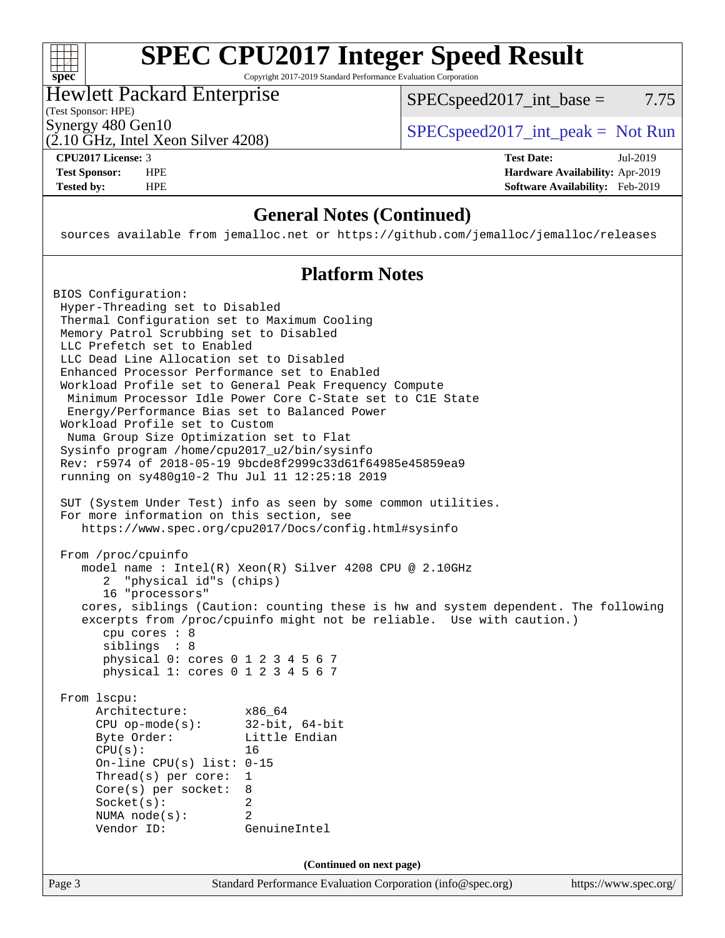### $+\ +$ **[spec](http://www.spec.org/)**

# **[SPEC CPU2017 Integer Speed Result](http://www.spec.org/auto/cpu2017/Docs/result-fields.html#SPECCPU2017IntegerSpeedResult)**

Copyright 2017-2019 Standard Performance Evaluation Corporation

## Hewlett Packard Enterprise

(2.10 GHz, Intel Xeon Silver 4208)

 $SPEC speed2017\_int\_base = 7.75$ 

(Test Sponsor: HPE)

Synergy 480 Gen10<br>  $SPEC speed2017\_int\_peak = Not Run$ 

**[CPU2017 License:](http://www.spec.org/auto/cpu2017/Docs/result-fields.html#CPU2017License)** 3 **[Test Date:](http://www.spec.org/auto/cpu2017/Docs/result-fields.html#TestDate)** Jul-2019 **[Test Sponsor:](http://www.spec.org/auto/cpu2017/Docs/result-fields.html#TestSponsor)** HPE **[Hardware Availability:](http://www.spec.org/auto/cpu2017/Docs/result-fields.html#HardwareAvailability)** Apr-2019 **[Tested by:](http://www.spec.org/auto/cpu2017/Docs/result-fields.html#Testedby)** HPE **[Software Availability:](http://www.spec.org/auto/cpu2017/Docs/result-fields.html#SoftwareAvailability)** Feb-2019

### **[General Notes \(Continued\)](http://www.spec.org/auto/cpu2017/Docs/result-fields.html#GeneralNotes)**

sources available from jemalloc.net or <https://github.com/jemalloc/jemalloc/releases>

### **[Platform Notes](http://www.spec.org/auto/cpu2017/Docs/result-fields.html#PlatformNotes)**

Page 3 Standard Performance Evaluation Corporation [\(info@spec.org\)](mailto:info@spec.org) <https://www.spec.org/> BIOS Configuration: Hyper-Threading set to Disabled Thermal Configuration set to Maximum Cooling Memory Patrol Scrubbing set to Disabled LLC Prefetch set to Enabled LLC Dead Line Allocation set to Disabled Enhanced Processor Performance set to Enabled Workload Profile set to General Peak Frequency Compute Minimum Processor Idle Power Core C-State set to C1E State Energy/Performance Bias set to Balanced Power Workload Profile set to Custom Numa Group Size Optimization set to Flat Sysinfo program /home/cpu2017\_u2/bin/sysinfo Rev: r5974 of 2018-05-19 9bcde8f2999c33d61f64985e45859ea9 running on sy480g10-2 Thu Jul 11 12:25:18 2019 SUT (System Under Test) info as seen by some common utilities. For more information on this section, see <https://www.spec.org/cpu2017/Docs/config.html#sysinfo> From /proc/cpuinfo model name : Intel(R) Xeon(R) Silver 4208 CPU @ 2.10GHz 2 "physical id"s (chips) 16 "processors" cores, siblings (Caution: counting these is hw and system dependent. The following excerpts from /proc/cpuinfo might not be reliable. Use with caution.) cpu cores : 8 siblings : 8 physical 0: cores 0 1 2 3 4 5 6 7 physical 1: cores 0 1 2 3 4 5 6 7 From lscpu: Architecture: x86\_64 CPU op-mode(s): 32-bit, 64-bit Byte Order: Little Endian CPU(s): 16 On-line CPU(s) list: 0-15 Thread(s) per core: 1 Core(s) per socket: 8 Socket(s): 2 NUMA node(s): 2 Vendor ID: GenuineIntel **(Continued on next page)**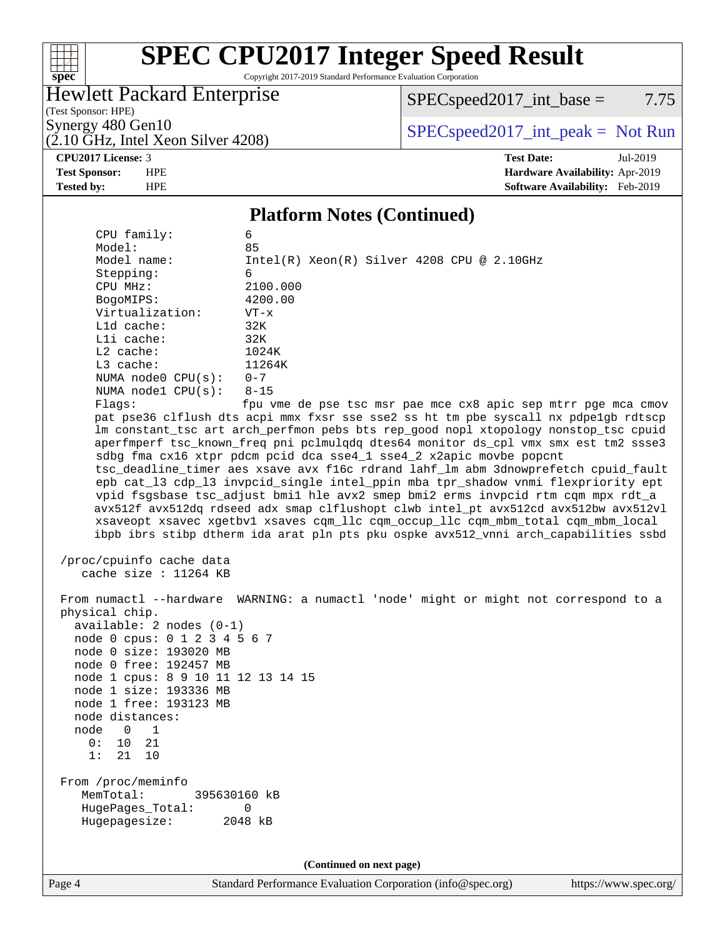### **[spec](http://www.spec.org/)**

# **[SPEC CPU2017 Integer Speed Result](http://www.spec.org/auto/cpu2017/Docs/result-fields.html#SPECCPU2017IntegerSpeedResult)**

Copyright 2017-2019 Standard Performance Evaluation Corporation

## Hewlett Packard Enterprise

 $SPECspeed2017\_int\_base = 7.75$ 

(Test Sponsor: HPE)  $(2.10 \text{ GHz}, \text{Intel Xeon Silver } 4208)$ 

Synergy 480 Gen10<br>  $SPEC speed2017\_int\_peak = Not Run$ 

**[CPU2017 License:](http://www.spec.org/auto/cpu2017/Docs/result-fields.html#CPU2017License)** 3 **[Test Date:](http://www.spec.org/auto/cpu2017/Docs/result-fields.html#TestDate)** Jul-2019 **[Test Sponsor:](http://www.spec.org/auto/cpu2017/Docs/result-fields.html#TestSponsor)** HPE **[Hardware Availability:](http://www.spec.org/auto/cpu2017/Docs/result-fields.html#HardwareAvailability)** Apr-2019 **[Tested by:](http://www.spec.org/auto/cpu2017/Docs/result-fields.html#Testedby)** HPE **[Software Availability:](http://www.spec.org/auto/cpu2017/Docs/result-fields.html#SoftwareAvailability)** Feb-2019

#### **[Platform Notes \(Continued\)](http://www.spec.org/auto/cpu2017/Docs/result-fields.html#PlatformNotes)**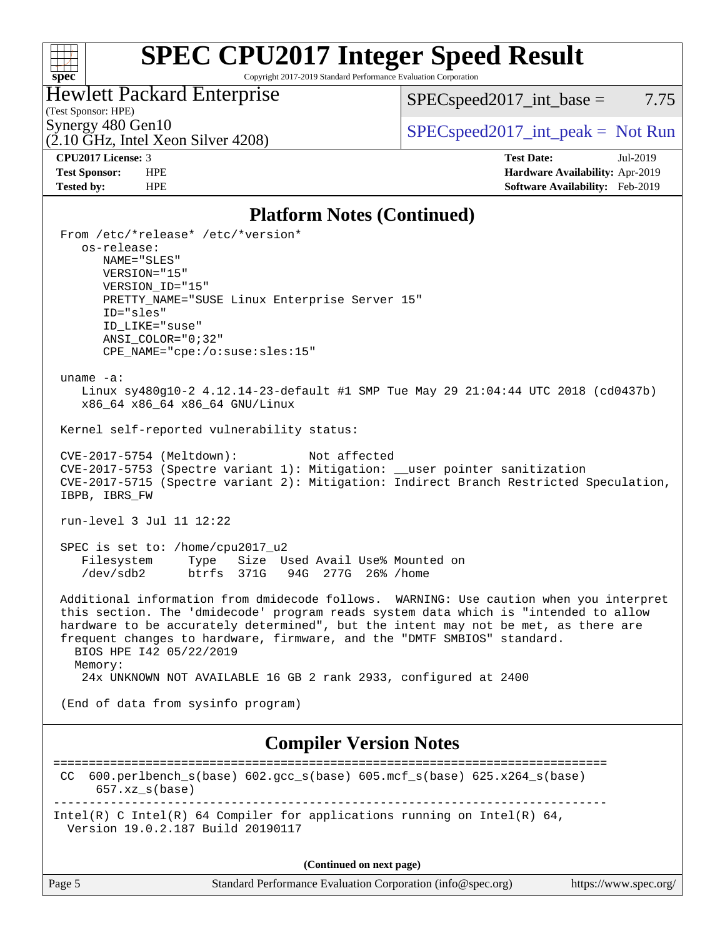### **[spec](http://www.spec.org/)**

# **[SPEC CPU2017 Integer Speed Result](http://www.spec.org/auto/cpu2017/Docs/result-fields.html#SPECCPU2017IntegerSpeedResult)**

Copyright 2017-2019 Standard Performance Evaluation Corporation

# Hewlett Packard Enterprise

 $SPEC speed2017\_int\_base = 7.75$ 

# (Test Sponsor: HPE)

 $(2.10 \text{ GHz}, \text{Intel Xeon Silver } 4208)$ 

# Synergy 480 Gen10<br>  $SPEC speed2017\_int\_peak = Not Run$ <br>  $SPEC speed2017\_int\_peak = Not Run$

**[CPU2017 License:](http://www.spec.org/auto/cpu2017/Docs/result-fields.html#CPU2017License)** 3 **[Test Date:](http://www.spec.org/auto/cpu2017/Docs/result-fields.html#TestDate)** Jul-2019 **[Test Sponsor:](http://www.spec.org/auto/cpu2017/Docs/result-fields.html#TestSponsor)** HPE **[Hardware Availability:](http://www.spec.org/auto/cpu2017/Docs/result-fields.html#HardwareAvailability)** Apr-2019 **[Tested by:](http://www.spec.org/auto/cpu2017/Docs/result-fields.html#Testedby)** HPE **[Software Availability:](http://www.spec.org/auto/cpu2017/Docs/result-fields.html#SoftwareAvailability)** Feb-2019

#### **[Platform Notes \(Continued\)](http://www.spec.org/auto/cpu2017/Docs/result-fields.html#PlatformNotes)**

| From /etc/*release* /etc/*version*<br>os-release:<br>NAME="SLES"<br>VERSION="15"<br>VERSION_ID="15"<br>PRETTY_NAME="SUSE Linux Enterprise Server 15"<br>ID="sles"<br>ID LIKE="suse"<br>$ANSI\_COLOR = "0; 32"$<br>CPE_NAME="cpe:/o:suse:sles:15"                                                                                                                                     |
|--------------------------------------------------------------------------------------------------------------------------------------------------------------------------------------------------------------------------------------------------------------------------------------------------------------------------------------------------------------------------------------|
| uname $-a$ :<br>Linux sy480g10-2 4.12.14-23-default #1 SMP Tue May 29 21:04:44 UTC 2018 (cd0437b)<br>x86_64 x86_64 x86_64 GNU/Linux                                                                                                                                                                                                                                                  |
| Kernel self-reported vulnerability status:                                                                                                                                                                                                                                                                                                                                           |
| CVE-2017-5754 (Meltdown):<br>Not affected<br>CVE-2017-5753 (Spectre variant 1): Mitigation: __user pointer sanitization<br>CVE-2017-5715 (Spectre variant 2): Mitigation: Indirect Branch Restricted Speculation,<br>IBPB, IBRS_FW                                                                                                                                                   |
| run-level 3 Jul 11 12:22                                                                                                                                                                                                                                                                                                                                                             |
| SPEC is set to: /home/cpu2017_u2<br>Type Size Used Avail Use% Mounted on<br>Filesystem<br>btrfs 371G 94G 277G 26% / home<br>/dev/sdb2                                                                                                                                                                                                                                                |
| Additional information from dmidecode follows. WARNING: Use caution when you interpret<br>this section. The 'dmidecode' program reads system data which is "intended to allow<br>hardware to be accurately determined", but the intent may not be met, as there are<br>frequent changes to hardware, firmware, and the "DMTF SMBIOS" standard.<br>BIOS HPE 142 05/22/2019<br>Memory: |
| 24x UNKNOWN NOT AVAILABLE 16 GB 2 rank 2933, configured at 2400                                                                                                                                                                                                                                                                                                                      |
| (End of data from sysinfo program)                                                                                                                                                                                                                                                                                                                                                   |
| <b>Compiler Version Notes</b>                                                                                                                                                                                                                                                                                                                                                        |
| 600.perlbench_s(base) 602.gcc_s(base) 605.mcf_s(base) 625.x264_s(base)<br>CC.<br>$657.xx$ s(base)                                                                                                                                                                                                                                                                                    |
| Intel(R) C Intel(R) 64 Compiler for applications running on Intel(R) 64,<br>Version 19.0.2.187 Build 20190117                                                                                                                                                                                                                                                                        |
| (Continued on next page)                                                                                                                                                                                                                                                                                                                                                             |

Page 5 Standard Performance Evaluation Corporation [\(info@spec.org\)](mailto:info@spec.org) <https://www.spec.org/>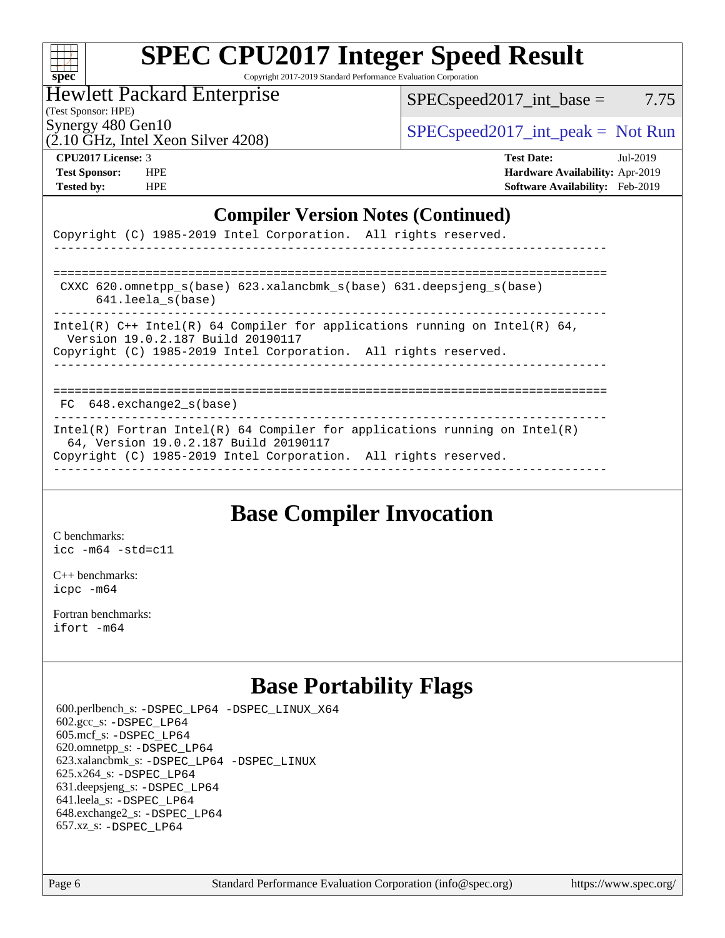| S | U | e | Ľ |  |
|---|---|---|---|--|

# **[SPEC CPU2017 Integer Speed Result](http://www.spec.org/auto/cpu2017/Docs/result-fields.html#SPECCPU2017IntegerSpeedResult)**

Copyright 2017-2019 Standard Performance Evaluation Corporation

#### Hewlett Packard Enterprise

 $SPEC speed2017\_int\_base = 7.75$ 

(Test Sponsor: HPE)

Synergy 480 Gen10  $SPEC speed2017\_int\_peak = Not Run$ 

# (2.10 GHz, Intel Xeon Silver 4208)

**[CPU2017 License:](http://www.spec.org/auto/cpu2017/Docs/result-fields.html#CPU2017License)** 3 **[Test Date:](http://www.spec.org/auto/cpu2017/Docs/result-fields.html#TestDate)** Jul-2019 **[Test Sponsor:](http://www.spec.org/auto/cpu2017/Docs/result-fields.html#TestSponsor)** HPE **[Hardware Availability:](http://www.spec.org/auto/cpu2017/Docs/result-fields.html#HardwareAvailability)** Apr-2019 **[Tested by:](http://www.spec.org/auto/cpu2017/Docs/result-fields.html#Testedby)** HPE **[Software Availability:](http://www.spec.org/auto/cpu2017/Docs/result-fields.html#SoftwareAvailability)** Feb-2019

#### **[Compiler Version Notes \(Continued\)](http://www.spec.org/auto/cpu2017/Docs/result-fields.html#CompilerVersionNotes)**

| Copyright (C) 1985-2019 Intel Corporation. All rights reserved.<br>____________________________________                                                                                |
|----------------------------------------------------------------------------------------------------------------------------------------------------------------------------------------|
| CXXC $620.\text{omnetps}$ (base) $623.\text{xalancbmk_s}$ (base) $631.\text{deepsjeng_s}$ (base)<br>$641.$ leela $s$ (base)                                                            |
| Intel(R) $C++$ Intel(R) 64 Compiler for applications running on Intel(R) 64,<br>Version 19.0.2.187 Build 20190117<br>Copyright (C) 1985-2019 Intel Corporation. All rights reserved.   |
| $FC$ 648. exchange $2$ <sub>S</sub> (base)                                                                                                                                             |
| Intel(R) Fortran Intel(R) 64 Compiler for applications running on Intel(R)<br>64, Version 19.0.2.187 Build 20190117<br>Copyright (C) 1985-2019 Intel Corporation. All rights reserved. |

# **[Base Compiler Invocation](http://www.spec.org/auto/cpu2017/Docs/result-fields.html#BaseCompilerInvocation)**

[C benchmarks](http://www.spec.org/auto/cpu2017/Docs/result-fields.html#Cbenchmarks): [icc -m64 -std=c11](http://www.spec.org/cpu2017/results/res2019q3/cpu2017-20190723-16384.flags.html#user_CCbase_intel_icc_64bit_c11_33ee0cdaae7deeeab2a9725423ba97205ce30f63b9926c2519791662299b76a0318f32ddfffdc46587804de3178b4f9328c46fa7c2b0cd779d7a61945c91cd35)

[C++ benchmarks:](http://www.spec.org/auto/cpu2017/Docs/result-fields.html#CXXbenchmarks) [icpc -m64](http://www.spec.org/cpu2017/results/res2019q3/cpu2017-20190723-16384.flags.html#user_CXXbase_intel_icpc_64bit_4ecb2543ae3f1412ef961e0650ca070fec7b7afdcd6ed48761b84423119d1bf6bdf5cad15b44d48e7256388bc77273b966e5eb805aefd121eb22e9299b2ec9d9)

[Fortran benchmarks](http://www.spec.org/auto/cpu2017/Docs/result-fields.html#Fortranbenchmarks): [ifort -m64](http://www.spec.org/cpu2017/results/res2019q3/cpu2017-20190723-16384.flags.html#user_FCbase_intel_ifort_64bit_24f2bb282fbaeffd6157abe4f878425411749daecae9a33200eee2bee2fe76f3b89351d69a8130dd5949958ce389cf37ff59a95e7a40d588e8d3a57e0c3fd751)

# **[Base Portability Flags](http://www.spec.org/auto/cpu2017/Docs/result-fields.html#BasePortabilityFlags)**

 600.perlbench\_s: [-DSPEC\\_LP64](http://www.spec.org/cpu2017/results/res2019q3/cpu2017-20190723-16384.flags.html#b600.perlbench_s_basePORTABILITY_DSPEC_LP64) [-DSPEC\\_LINUX\\_X64](http://www.spec.org/cpu2017/results/res2019q3/cpu2017-20190723-16384.flags.html#b600.perlbench_s_baseCPORTABILITY_DSPEC_LINUX_X64) 602.gcc\_s: [-DSPEC\\_LP64](http://www.spec.org/cpu2017/results/res2019q3/cpu2017-20190723-16384.flags.html#suite_basePORTABILITY602_gcc_s_DSPEC_LP64) 605.mcf\_s: [-DSPEC\\_LP64](http://www.spec.org/cpu2017/results/res2019q3/cpu2017-20190723-16384.flags.html#suite_basePORTABILITY605_mcf_s_DSPEC_LP64) 620.omnetpp\_s: [-DSPEC\\_LP64](http://www.spec.org/cpu2017/results/res2019q3/cpu2017-20190723-16384.flags.html#suite_basePORTABILITY620_omnetpp_s_DSPEC_LP64) 623.xalancbmk\_s: [-DSPEC\\_LP64](http://www.spec.org/cpu2017/results/res2019q3/cpu2017-20190723-16384.flags.html#suite_basePORTABILITY623_xalancbmk_s_DSPEC_LP64) [-DSPEC\\_LINUX](http://www.spec.org/cpu2017/results/res2019q3/cpu2017-20190723-16384.flags.html#b623.xalancbmk_s_baseCXXPORTABILITY_DSPEC_LINUX) 625.x264\_s: [-DSPEC\\_LP64](http://www.spec.org/cpu2017/results/res2019q3/cpu2017-20190723-16384.flags.html#suite_basePORTABILITY625_x264_s_DSPEC_LP64) 631.deepsjeng\_s: [-DSPEC\\_LP64](http://www.spec.org/cpu2017/results/res2019q3/cpu2017-20190723-16384.flags.html#suite_basePORTABILITY631_deepsjeng_s_DSPEC_LP64) 641.leela\_s: [-DSPEC\\_LP64](http://www.spec.org/cpu2017/results/res2019q3/cpu2017-20190723-16384.flags.html#suite_basePORTABILITY641_leela_s_DSPEC_LP64) 648.exchange2\_s: [-DSPEC\\_LP64](http://www.spec.org/cpu2017/results/res2019q3/cpu2017-20190723-16384.flags.html#suite_basePORTABILITY648_exchange2_s_DSPEC_LP64) 657.xz\_s: [-DSPEC\\_LP64](http://www.spec.org/cpu2017/results/res2019q3/cpu2017-20190723-16384.flags.html#suite_basePORTABILITY657_xz_s_DSPEC_LP64)